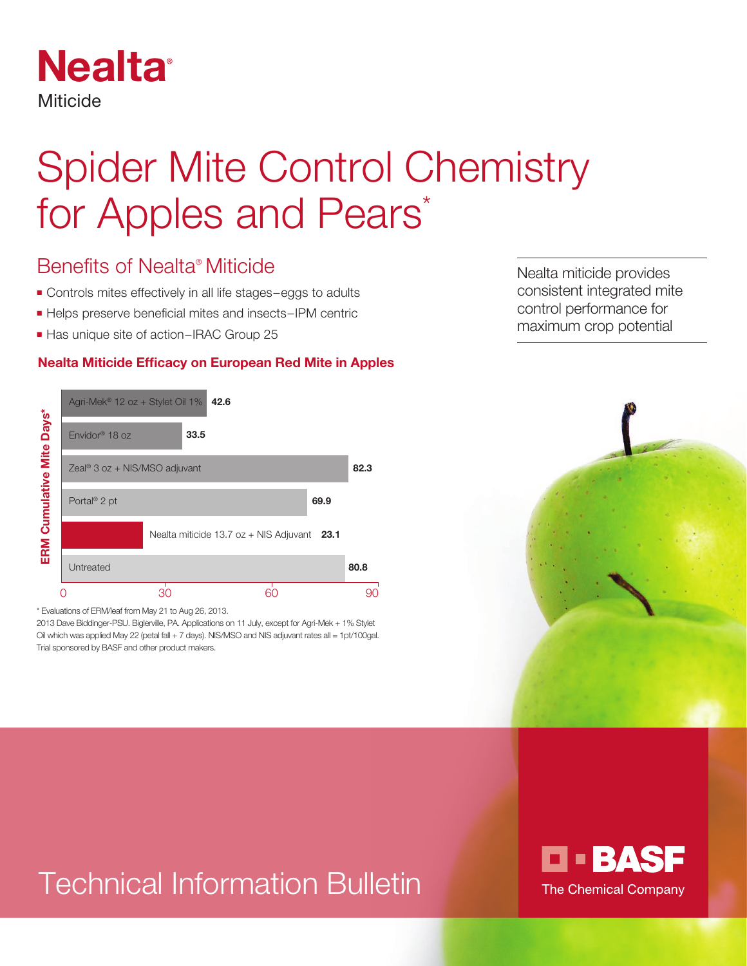

# Spider Mite Control Chemistry for Apples and Pears\*

## Benefits of Nealta® Miticide

- Controls mites effectively in all life stages–eggs to adults
- Helps preserve beneficial mites and insects–IPM centric
- Has unique site of action–IRAC Group 25

#### **Nealta Miticide Efficacy on European Red Mite in Apples**



\* Evaluations of ERM/leaf from May 21 to Aug 26, 2013.

2013 Dave Biddinger-PSU. Biglerville, PA. Applications on 11 July, except for Agri-Mek + 1% Stylet Oil which was applied May 22 (petal fall + 7 days). NIS/MSO and NIS adjuvant rates all = 1pt/100gal. Trial sponsored by BASF and other product makers.



# Technical Information Bulletin